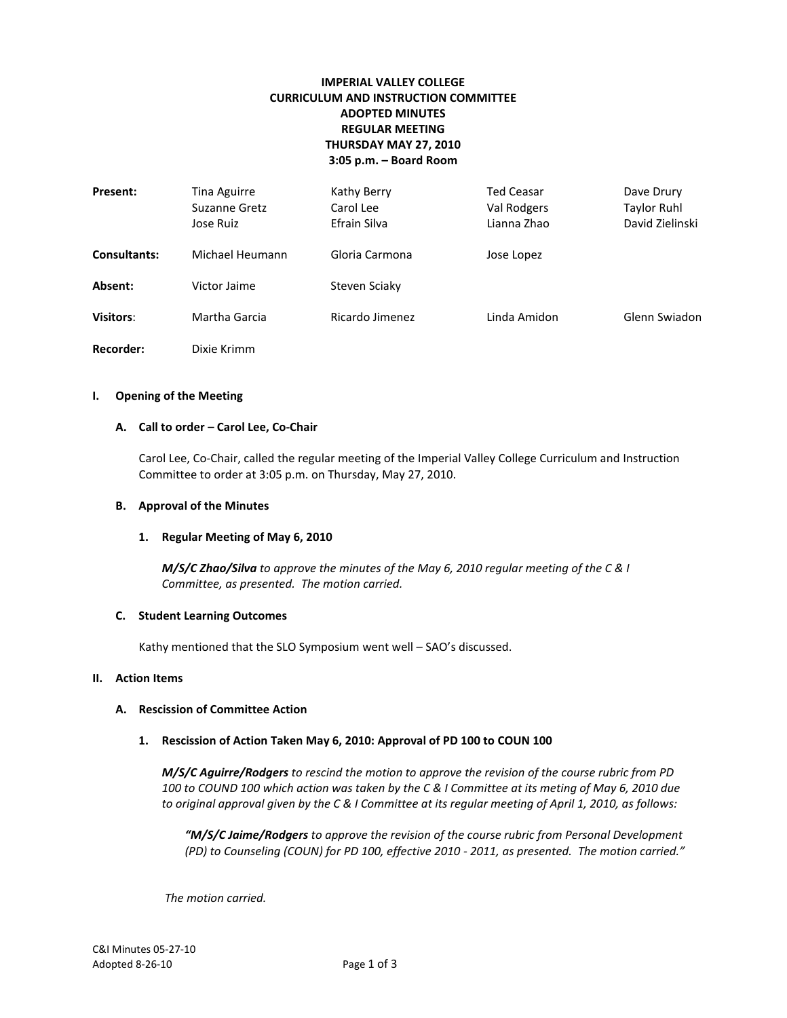# **IMPERIAL VALLEY COLLEGE CURRICULUM AND INSTRUCTION COMMITTEE ADOPTED MINUTES REGULAR MEETING THURSDAY MAY 27, 2010 3:05 p.m. – Board Room**

| Present:            | Tina Aguirre<br>Suzanne Gretz<br>Jose Ruiz | Kathy Berry<br>Carol Lee<br>Efrain Silva | <b>Ted Ceasar</b><br>Val Rodgers<br>Lianna Zhao | Dave Drury<br>Taylor Ruhl<br>David Zielinski |
|---------------------|--------------------------------------------|------------------------------------------|-------------------------------------------------|----------------------------------------------|
| <b>Consultants:</b> | Michael Heumann                            | Gloria Carmona                           | Jose Lopez                                      |                                              |
| Absent:             | Victor Jaime                               | Steven Sciaky                            |                                                 |                                              |
| <b>Visitors:</b>    | Martha Garcia                              | Ricardo Jimenez                          | Linda Amidon                                    | Glenn Swiadon                                |
| Recorder:           | Dixie Krimm                                |                                          |                                                 |                                              |

#### **I. Opening of the Meeting**

### **A. Call to order – Carol Lee, Co-Chair**

Carol Lee, Co-Chair, called the regular meeting of the Imperial Valley College Curriculum and Instruction Committee to order at 3:05 p.m. on Thursday, May 27, 2010.

### **B. Approval of the Minutes**

### **1. Regular Meeting of May 6, 2010**

*M/S/C Zhao/Silva to approve the minutes of the May 6, 2010 regular meeting of the C & I Committee, as presented. The motion carried.*

### **C. Student Learning Outcomes**

Kathy mentioned that the SLO Symposium went well – SAO's discussed.

## **II. Action Items**

### **A. Rescission of Committee Action**

## **1. Rescission of Action Taken May 6, 2010: Approval of PD 100 to COUN 100**

*M/S/C Aguirre/Rodgers to rescind the motion to approve the revision of the course rubric from PD 100 to COUND 100 which action was taken by the C & I Committee at its meting of May 6, 2010 due to original approval given by the C & I Committee at its regular meeting of April 1, 2010, as follows:*

*"M/S/C Jaime/Rodgers to approve the revision of the course rubric from Personal Development (PD) to Counseling (COUN) for PD 100, effective 2010 - 2011, as presented. The motion carried."*

*The motion carried.*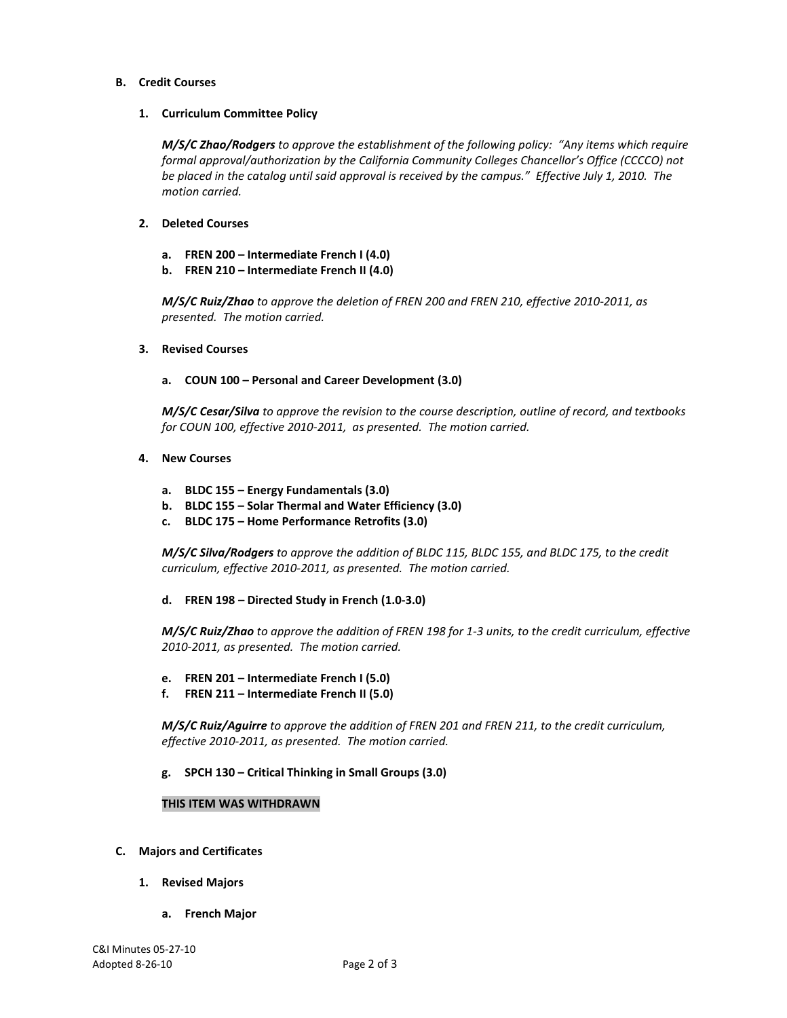## **B. Credit Courses**

## **1. Curriculum Committee Policy**

*M/S/C Zhao/Rodgers to approve the establishment of the following policy: "Any items which require formal approval/authorization by the California Community Colleges Chancellor's Office (CCCCO) not be placed in the catalog until said approval is received by the campus." Effective July 1, 2010. The motion carried.*

## **2. Deleted Courses**

- **a. FREN 200 – Intermediate French I (4.0)**
- **b. FREN 210 – Intermediate French II (4.0)**

*M/S/C Ruiz/Zhao to approve the deletion of FREN 200 and FREN 210, effective 2010-2011, as presented. The motion carried.*

**3. Revised Courses**

## **a. COUN 100 – Personal and Career Development (3.0)**

*M/S/C Cesar/Silva to approve the revision to the course description, outline of record, and textbooks for COUN 100, effective 2010-2011, as presented. The motion carried.*

- **4. New Courses**
	- **a. BLDC 155 – Energy Fundamentals (3.0)**
	- **b. BLDC 155 – Solar Thermal and Water Efficiency (3.0)**
	- **c. BLDC 175 – Home Performance Retrofits (3.0)**

*M/S/C Silva/Rodgers to approve the addition of BLDC 115, BLDC 155, and BLDC 175, to the credit curriculum, effective 2010-2011, as presented. The motion carried.*

**d. FREN 198 – Directed Study in French (1.0-3.0)**

*M/S/C Ruiz/Zhao to approve the addition of FREN 198 for 1-3 units, to the credit curriculum, effective 2010-2011, as presented. The motion carried.*

- **e. FREN 201 – Intermediate French I (5.0)**
- **f. FREN 211 – Intermediate French II (5.0)**

*M/S/C Ruiz/Aguirre to approve the addition of FREN 201 and FREN 211, to the credit curriculum, effective 2010-2011, as presented. The motion carried.*

**g. SPCH 130 – Critical Thinking in Small Groups (3.0)**

## **THIS ITEM WAS WITHDRAWN**

- **C. Majors and Certificates**
	- **1. Revised Majors**
		- **a. French Major**